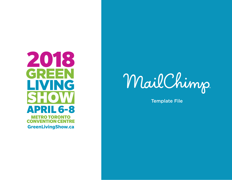



Template File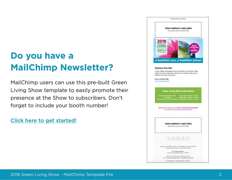# **Do you have a MailChimp Newsletter?**

MailChimp users can use this pre-built Green Living Show template to easily promote their presence at the Show to subscribers. Don't forget to include your booth number!

[Click here to get started!](https://us12.admin.mailchimp.com/templates/share?id=49837809_92c373a042ee2937dc22_us12)

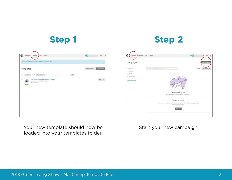| Сатрация.<br>Reports<br>Templates:<br>Lists                                                                                 | O(1)            | $\alpha$<br>$v$ seg    |
|-----------------------------------------------------------------------------------------------------------------------------|-----------------|------------------------|
| Template '2018 Green Living Show Exhibitor Template' Added.                                                                 |                 |                        |
| Templates<br>$Q_1$<br>o<br>Folders w<br>Sottly : Newestfrom w .<br>Search saved her grants.                                 | Contart Meniger | <b>Create Template</b> |
| ο<br>2018 Green Living Show Exhibitor Template<br>(1, 2)<br>Last edited on Mar 15, 2018 3:25 pm<br>æ<br>Drag and drop<br>ست |                 | life =                 |
|                                                                                                                             |                 |                        |
|                                                                                                                             |                 |                        |
|                                                                                                                             |                 |                        |
|                                                                                                                             |                 |                        |

**Step 1 Step 2**

| Templates:<br>Сатрацта        | $-1.085$<br>Reports                                                                                                                         | O(1)<br>$\mathbb Q$<br>my<br>$\sim$ |
|-------------------------------|---------------------------------------------------------------------------------------------------------------------------------------------|-------------------------------------|
| Campaigns                     |                                                                                                                                             | <b>Create Campag</b>                |
| <b>C</b> Recent<br>++ Orgoing | C) Find a carriering by name, type, or list                                                                                                 | Sert by<br>Last updated             |
| $2$ but                       |                                                                                                                                             |                                     |
| $J$ . Completed               |                                                                                                                                             |                                     |
| C) Create Falder              | No campaigns yet<br>When you create an email or ad, it'll show up here.                                                                     |                                     |
|                               | Ready to get started?<br>Our automated welcome email makes it easy to send a friendly helio or say thank you<br>when people join your list. |                                     |
|                               | 193.04                                                                                                                                      |                                     |
|                               |                                                                                                                                             |                                     |

Your new template should now be loaded into your templates folder.

Start your new campaign.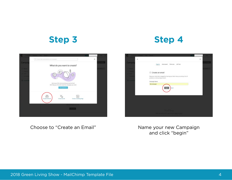### **Step 3 Step 4**



Choose to "Create an Email" Name your new Campaign



and click "begin"

2018 Green Living Show - MailChimp Template File 4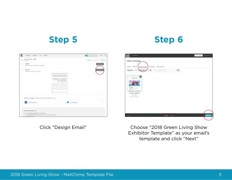| Templates Lists<br>Reports<br>Campagns                                         | O(1)<br>$\alpha$<br><b>Help</b><br>٠ |
|--------------------------------------------------------------------------------|--------------------------------------|
| Let's get started! (DGR)<br>Ø<br>Druft ernall                                  | 1. Schwalter<br><b>First Level</b>   |
| $\odot$<br>Subject<br>What's the subject line for this compagn?                | <b>Add Subject</b>                   |
| Content<br>Design the content for your email.                                  | Design Entail                        |
| Share your campaign https://malchi.mp/(moood/booxed) itals<br>Comment Facebook | Connect Twitter                      |
|                                                                                |                                      |
| Settings & Tracking Edit                                                       |                                      |
| . You're not using Conversations to manage replies.                            |                                      |

### **Step 5 Step 6**



Click "Design Email" Choose "2018 Green Living Show Exhibitor Template" as your email's template and click "Next"

2018 Green Living Show - MailChimp Template File 5 (1996) 2018 5 (1997) 3 (1998) 3 (1998) 3 (1998) 4 (1998) 3 (1998) 4 (1998) 3 (1998) 4 (1998) 3 (1999) 3 (1999) 3 (1999) 4 (1999) 3 (1999) 4 (1999) 3 (1999) 4 (1999) 3 (199